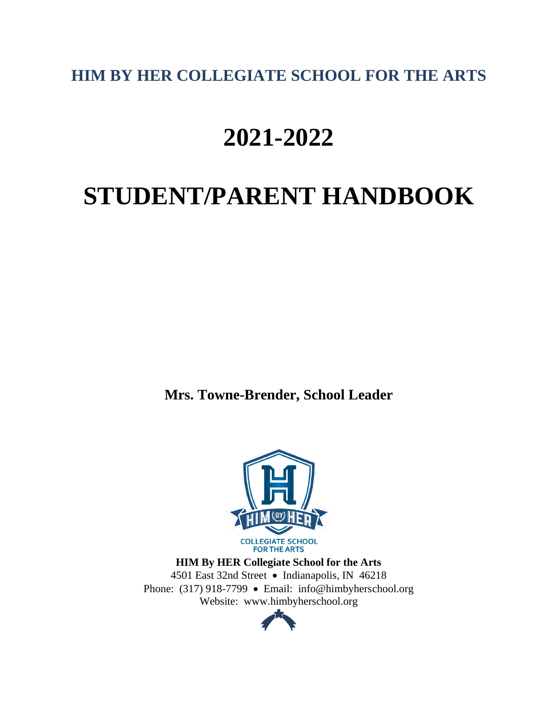**HIM BY HER COLLEGIATE SCHOOL FOR THE ARTS**

# **2021-2022**

# **STUDENT/PARENT HANDBOOK**

**Mrs. Towne-Brender, School Leader**



**HIM By HER Collegiate School for the Arts** 4501 East 32nd Street • Indianapolis, IN 46218 Phone: (317) 918-7799 • Email: info@himbyherschool.org Website: www.himbyherschool.org

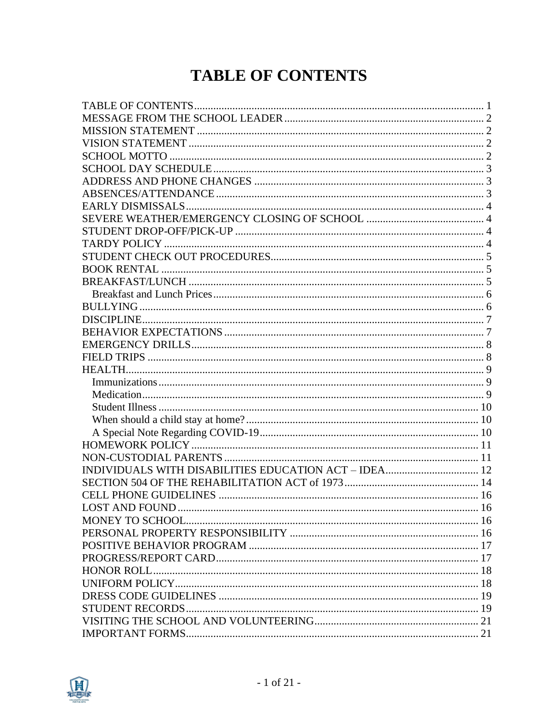# **TABLE OF CONTENTS**

<span id="page-1-0"></span>

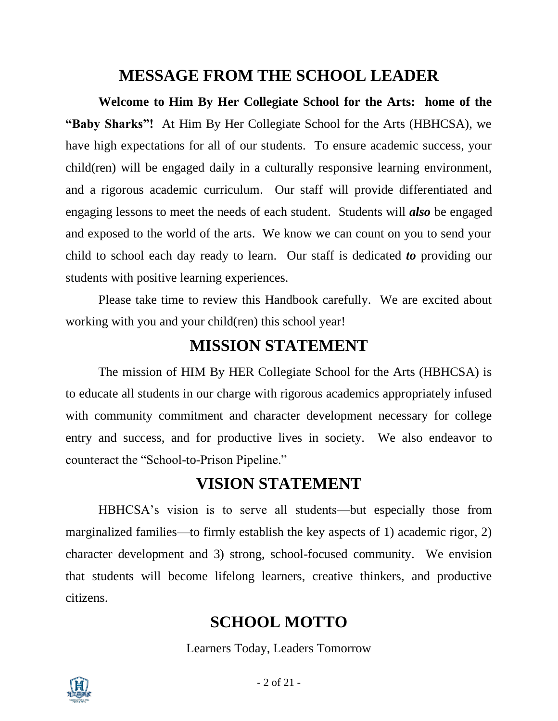# **MESSAGE FROM THE SCHOOL LEADER**

<span id="page-2-0"></span>**Welcome to Him By Her Collegiate School for the Arts: home of the "Baby Sharks"!** At Him By Her Collegiate School for the Arts (HBHCSA), we have high expectations for all of our students. To ensure academic success, your child(ren) will be engaged daily in a culturally responsive learning environment, and a rigorous academic curriculum. Our staff will provide differentiated and engaging lessons to meet the needs of each student. Students will *also* be engaged and exposed to the world of the arts. We know we can count on you to send your child to school each day ready to learn. Our staff is dedicated *to* providing our students with positive learning experiences.

Please take time to review this Handbook carefully. We are excited about working with you and your child(ren) this school year!

# **MISSION STATEMENT**

<span id="page-2-1"></span>The mission of HIM By HER Collegiate School for the Arts (HBHCSA) is to educate all students in our charge with rigorous academics appropriately infused with community commitment and character development necessary for college entry and success, and for productive lives in society. We also endeavor to counteract the "School-to-Prison Pipeline."

# **VISION STATEMENT**

<span id="page-2-2"></span>HBHCSA's vision is to serve all students—but especially those from marginalized families—to firmly establish the key aspects of 1) academic rigor, 2) character development and 3) strong, school-focused community. We envision that students will become lifelong learners, creative thinkers, and productive citizens.

# **SCHOOL MOTTO**

Learners Today, Leaders Tomorrow

<span id="page-2-3"></span>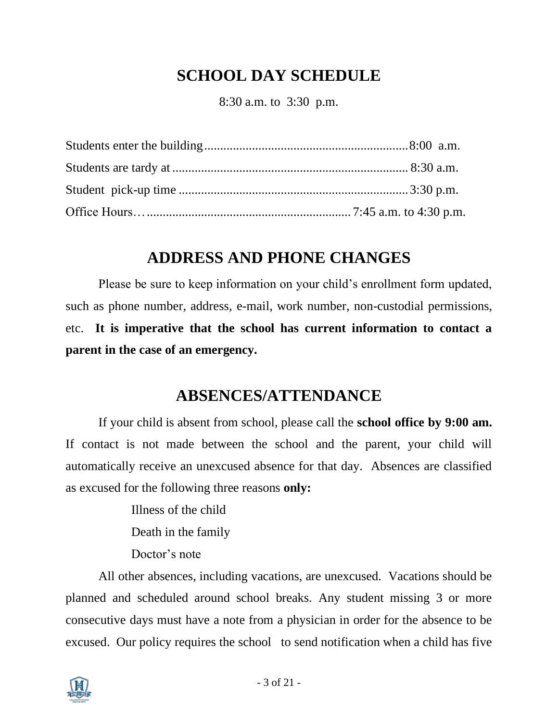# **SCHOOL DAY SCHEDULE**

8:30 a.m. to 3:30 p.m.

<span id="page-3-0"></span>

# **ADDRESS AND PHONE CHANGES**

<span id="page-3-1"></span>Please be sure to keep information on your child's enrollment form updated, such as phone number, address, e-mail, work number, non-custodial permissions, etc. **It is imperative that the school has current information to contact a parent in the case of an emergency.**

### **ABSENCES/ATTENDANCE**

<span id="page-3-2"></span>If your child is absent from school, please call the **school office by 9:00 am.** If contact is not made between the school and the parent, your child will automatically receive an unexcused absence for that day. Absences are classified as excused for the following three reasons **only:**

> Illness of the child Death in the family Doctor's note

All other absences, including vacations, are unexcused. Vacations should be planned and scheduled around school breaks. Any student missing 3 or more consecutive days must have a note from a physician in order for the absence to be excused. Our policy requires the school to send notification when a child has five

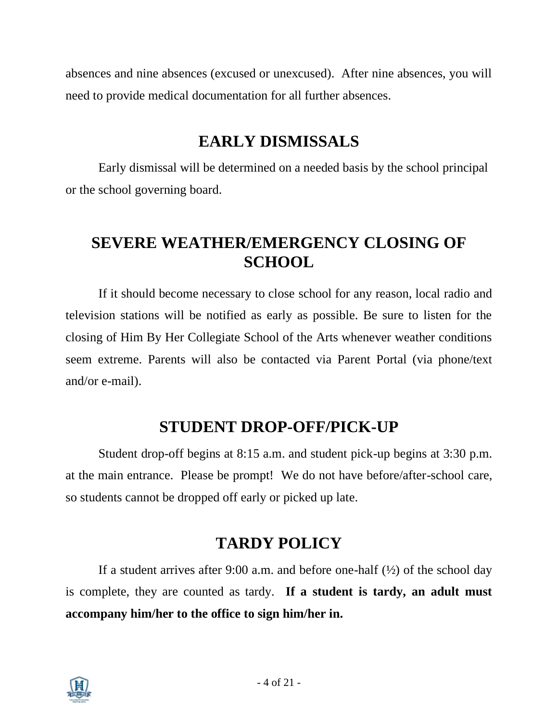absences and nine absences (excused or unexcused). After nine absences, you will need to provide medical documentation for all further absences.

# **EARLY DISMISSALS**

<span id="page-4-0"></span>Early dismissal will be determined on a needed basis by the school principal or the school governing board.

# <span id="page-4-1"></span>**SEVERE WEATHER/EMERGENCY CLOSING OF SCHOOL**

If it should become necessary to close school for any reason, local radio and television stations will be notified as early as possible. Be sure to listen for the closing of Him By Her Collegiate School of the Arts whenever weather conditions seem extreme. Parents will also be contacted via Parent Portal (via phone/text and/or e-mail).

### **STUDENT DROP-OFF/PICK-UP**

<span id="page-4-2"></span>Student drop-off begins at 8:15 a.m. and student pick-up begins at 3:30 p.m. at the main entrance. Please be prompt! We do not have before/after-school care, so students cannot be dropped off early or picked up late.

# **TARDY POLICY**

<span id="page-4-3"></span>If a student arrives after 9:00 a.m. and before one-half  $(\frac{1}{2})$  of the school day is complete, they are counted as tardy. **If a student is tardy, an adult must accompany him/her to the office to sign him/her in.**

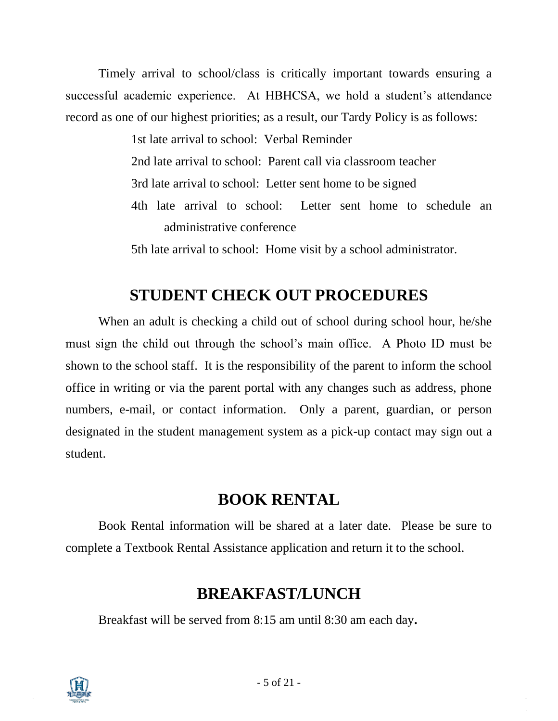Timely arrival to school/class is critically important towards ensuring a successful academic experience. At HBHCSA, we hold a student's attendance record as one of our highest priorities; as a result, our Tardy Policy is as follows:

> 1st late arrival to school: Verbal Reminder 2nd late arrival to school: Parent call via classroom teacher 3rd late arrival to school: Letter sent home to be signed 4th late arrival to school: Letter sent home to schedule an administrative conference

5th late arrival to school: Home visit by a school administrator.

# **STUDENT CHECK OUT PROCEDURES**

<span id="page-5-0"></span>When an adult is checking a child out of school during school hour, he/she must sign the child out through the school's main office. A Photo ID must be shown to the school staff. It is the responsibility of the parent to inform the school office in writing or via the parent portal with any changes such as address, phone numbers, e-mail, or contact information. Only a parent, guardian, or person designated in the student management system as a pick-up contact may sign out a student.

# **BOOK RENTAL**

<span id="page-5-1"></span>Book Rental information will be shared at a later date. Please be sure to complete a Textbook Rental Assistance application and return it to the school.

# **BREAKFAST/LUNCH**

<span id="page-5-2"></span>Breakfast will be served from 8:15 am until 8:30 am each day**.**

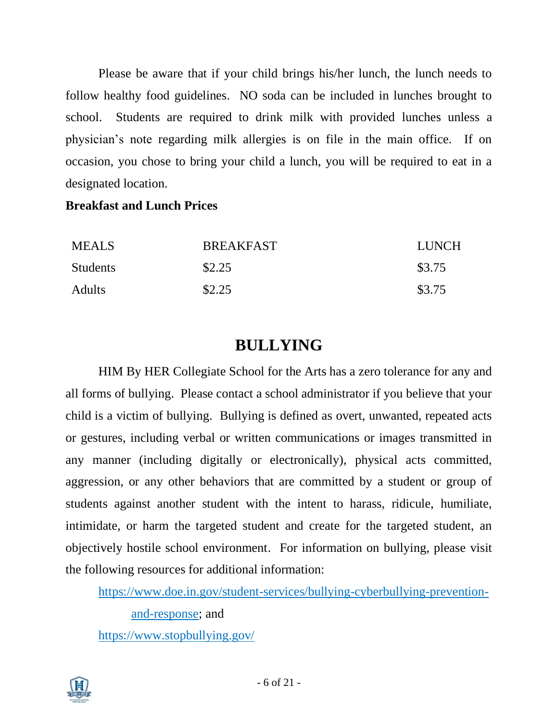Please be aware that if your child brings his/her lunch, the lunch needs to follow healthy food guidelines. NO soda can be included in lunches brought to school. Students are required to drink milk with provided lunches unless a physician's note regarding milk allergies is on file in the main office. If on occasion, you chose to bring your child a lunch, you will be required to eat in a designated location.

#### <span id="page-6-0"></span>**Breakfast and Lunch Prices**

| <b>MEALS</b>    | <b>BREAKFAST</b> | <b>LUNCH</b> |
|-----------------|------------------|--------------|
| <b>Students</b> | \$2.25           | \$3.75       |
| <b>Adults</b>   | \$2.25           | \$3.75       |

### **BULLYING**

<span id="page-6-1"></span>HIM By HER Collegiate School for the Arts has a zero tolerance for any and all forms of bullying. Please contact a school administrator if you believe that your child is a victim of bullying. Bullying is defined as overt, unwanted, repeated acts or gestures, including verbal or written communications or images transmitted in any manner (including digitally or electronically), physical acts committed, aggression, or any other behaviors that are committed by a student or group of students against another student with the intent to harass, ridicule, humiliate, intimidate, or harm the targeted student and create for the targeted student, an objectively hostile school environment. For information on bullying, please visit the following resources for additional information:

https:/[/www.doe.in.gov/student-services/bullying-cyberbullying-prevention-](about:blank)

[and-response;](about:blank) and

https:/[/www.stopbullying.gov/](about:blank)

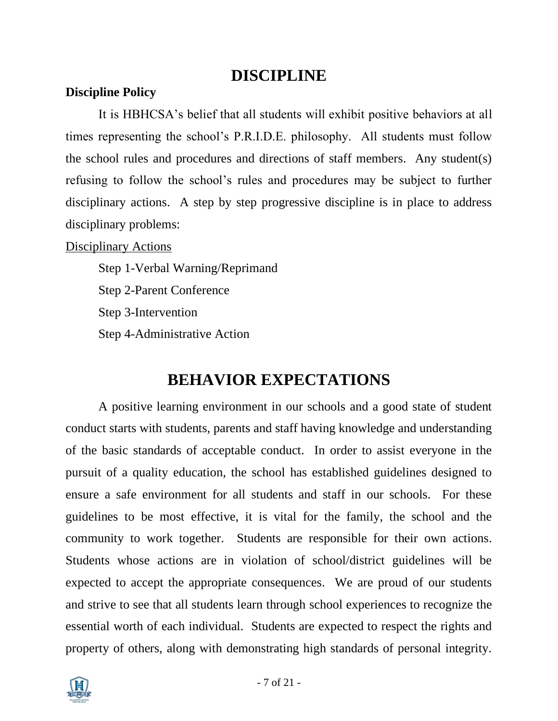### **DISCIPLINE**

#### <span id="page-7-0"></span>**Discipline Policy**

It is HBHCSA's belief that all students will exhibit positive behaviors at all times representing the school's P.R.I.D.E. philosophy. All students must follow the school rules and procedures and directions of staff members. Any student(s) refusing to follow the school's rules and procedures may be subject to further disciplinary actions. A step by step progressive discipline is in place to address disciplinary problems:

Disciplinary Actions

Step 1-Verbal Warning/Reprimand Step 2-Parent Conference Step 3-Intervention Step 4-Administrative Action

# **BEHAVIOR EXPECTATIONS**

<span id="page-7-1"></span>A positive learning environment in our schools and a good state of student conduct starts with students, parents and staff having knowledge and understanding of the basic standards of acceptable conduct. In order to assist everyone in the pursuit of a quality education, the school has established guidelines designed to ensure a safe environment for all students and staff in our schools. For these guidelines to be most effective, it is vital for the family, the school and the community to work together. Students are responsible for their own actions. Students whose actions are in violation of school/district guidelines will be expected to accept the appropriate consequences. We are proud of our students and strive to see that all students learn through school experiences to recognize the essential worth of each individual. Students are expected to respect the rights and property of others, along with demonstrating high standards of personal integrity.

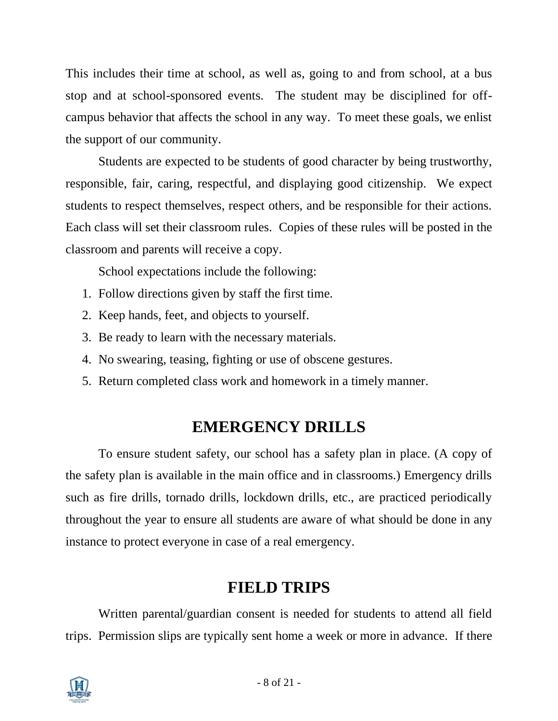This includes their time at school, as well as, going to and from school, at a bus stop and at school-sponsored events. The student may be disciplined for offcampus behavior that affects the school in any way. To meet these goals, we enlist the support of our community.

Students are expected to be students of good character by being trustworthy, responsible, fair, caring, respectful, and displaying good citizenship. We expect students to respect themselves, respect others, and be responsible for their actions. Each class will set their classroom rules. Copies of these rules will be posted in the classroom and parents will receive a copy.

School expectations include the following:

- 1. Follow directions given by staff the first time.
- 2. Keep hands, feet, and objects to yourself.
- 3. Be ready to learn with the necessary materials.
- 4. No swearing, teasing, fighting or use of obscene gestures.
- 5. Return completed class work and homework in a timely manner.

# **EMERGENCY DRILLS**

<span id="page-8-0"></span>To ensure student safety, our school has a safety plan in place. (A copy of the safety plan is available in the main office and in classrooms.) Emergency drills such as fire drills, tornado drills, lockdown drills, etc., are practiced periodically throughout the year to ensure all students are aware of what should be done in any instance to protect everyone in case of a real emergency.

# **FIELD TRIPS**

<span id="page-8-1"></span>Written parental/guardian consent is needed for students to attend all field trips. Permission slips are typically sent home a week or more in advance. If there

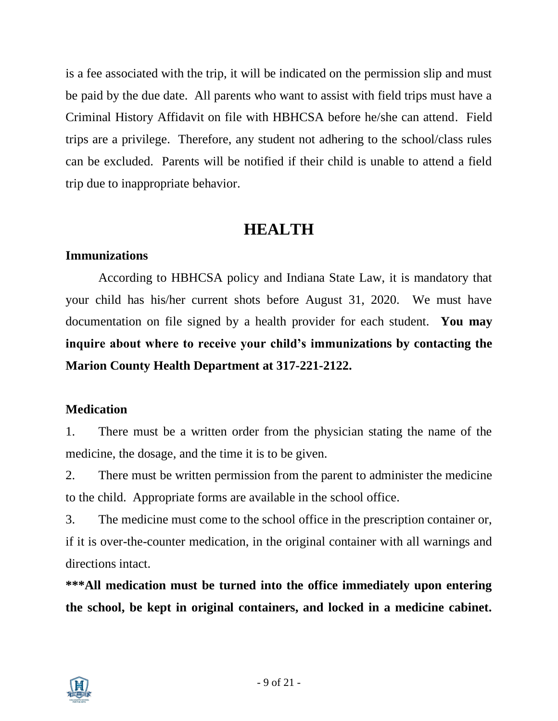is a fee associated with the trip, it will be indicated on the permission slip and must be paid by the due date. All parents who want to assist with field trips must have a Criminal History Affidavit on file with HBHCSA before he/she can attend. Field trips are a privilege. Therefore, any student not adhering to the school/class rules can be excluded. Parents will be notified if their child is unable to attend a field trip due to inappropriate behavior.

### **HEALTH**

#### <span id="page-9-1"></span><span id="page-9-0"></span>**Immunizations**

According to HBHCSA policy and Indiana State Law, it is mandatory that your child has his/her current shots before August 31, 2020. We must have documentation on file signed by a health provider for each student. **You may inquire about where to receive your child's immunizations by contacting the Marion County Health Department at 317-221-2122.**

#### <span id="page-9-2"></span>**Medication**

1. There must be a written order from the physician stating the name of the medicine, the dosage, and the time it is to be given.

2. There must be written permission from the parent to administer the medicine to the child. Appropriate forms are available in the school office.

3. The medicine must come to the school office in the prescription container or, if it is over-the-counter medication, in the original container with all warnings and directions intact.

**\*\*\*All medication must be turned into the office immediately upon entering the school, be kept in original containers, and locked in a medicine cabinet.** 

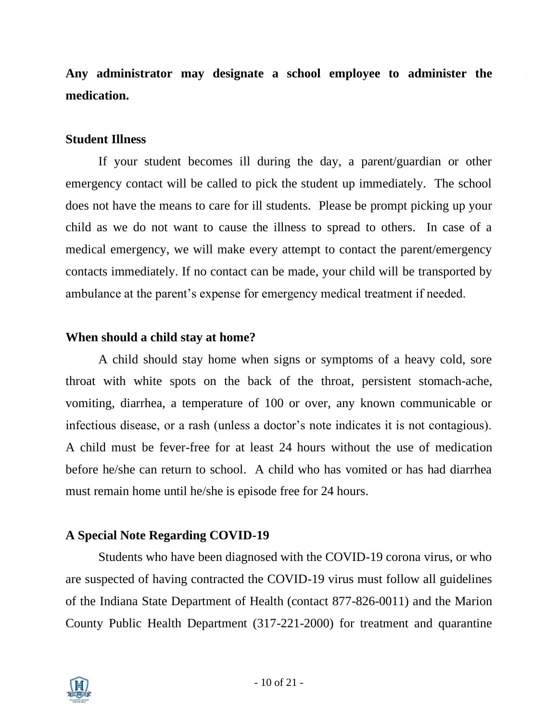**Any administrator may designate a school employee to administer the medication.**

#### <span id="page-10-0"></span>**Student Illness**

If your student becomes ill during the day, a parent/guardian or other emergency contact will be called to pick the student up immediately. The school does not have the means to care for ill students. Please be prompt picking up your child as we do not want to cause the illness to spread to others. In case of a medical emergency, we will make every attempt to contact the parent/emergency contacts immediately. If no contact can be made, your child will be transported by ambulance at the parent's expense for emergency medical treatment if needed.

#### <span id="page-10-1"></span>**When should a child stay at home?**

A child should stay home when signs or symptoms of a heavy cold, sore throat with white spots on the back of the throat, persistent stomach-ache, vomiting, diarrhea, a temperature of 100 or over, any known communicable or infectious disease, or a rash (unless a doctor's note indicates it is not contagious). A child must be fever-free for at least 24 hours without the use of medication before he/she can return to school. A child who has vomited or has had diarrhea must remain home until he/she is episode free for 24 hours.

#### <span id="page-10-2"></span>**A Special Note Regarding COVID-19**

Students who have been diagnosed with the COVID-19 corona virus, or who are suspected of having contracted the COVID-19 virus must follow all guidelines of the Indiana State Department of Health (contact 877-826-0011) and the Marion County Public Health Department (317-221-2000) for treatment and quarantine

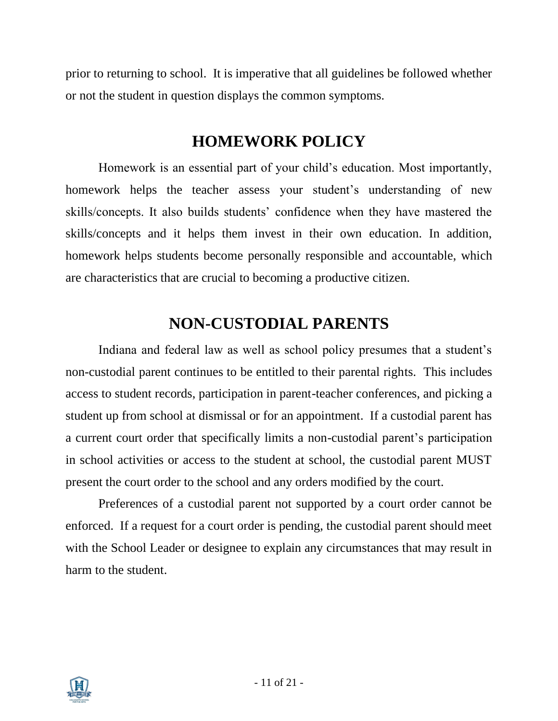prior to returning to school. It is imperative that all guidelines be followed whether or not the student in question displays the common symptoms.

### **HOMEWORK POLICY**

<span id="page-11-0"></span>Homework is an essential part of your child's education. Most importantly, homework helps the teacher assess your student's understanding of new skills/concepts. It also builds students' confidence when they have mastered the skills/concepts and it helps them invest in their own education. In addition, homework helps students become personally responsible and accountable, which are characteristics that are crucial to becoming a productive citizen.

# **NON-CUSTODIAL PARENTS**

<span id="page-11-1"></span>Indiana and federal law as well as school policy presumes that a student's non-custodial parent continues to be entitled to their parental rights. This includes access to student records, participation in parent-teacher conferences, and picking a student up from school at dismissal or for an appointment. If a custodial parent has a current court order that specifically limits a non-custodial parent's participation in school activities or access to the student at school, the custodial parent MUST present the court order to the school and any orders modified by the court.

Preferences of a custodial parent not supported by a court order cannot be enforced. If a request for a court order is pending, the custodial parent should meet with the School Leader or designee to explain any circumstances that may result in harm to the student.

<span id="page-11-2"></span>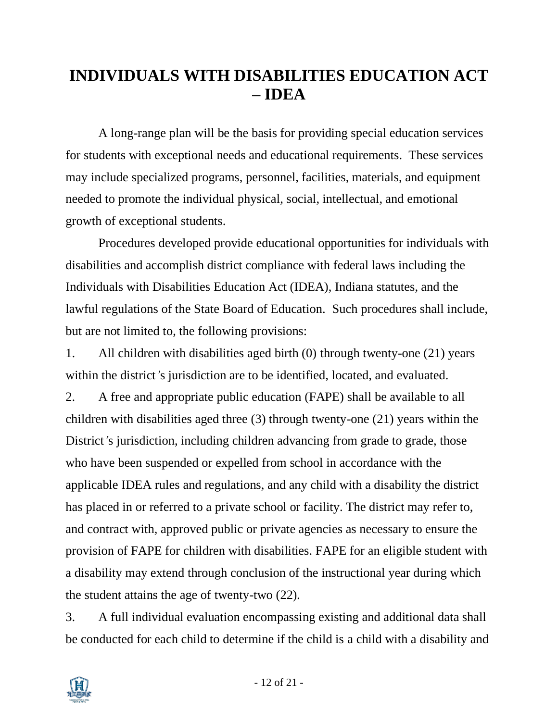# **INDIVIDUALS WITH DISABILITIES EDUCATION ACT – IDEA**

A long-range plan will be the basis for providing special education services for students with exceptional needs and educational requirements. These services may include specialized programs, personnel, facilities, materials, and equipment needed to promote the individual physical, social, intellectual, and emotional growth of exceptional students.

Procedures developed provide educational opportunities for individuals with disabilities and accomplish district compliance with federal laws including the Individuals with Disabilities Education Act (IDEA), Indiana statutes, and the lawful regulations of the State Board of Education. Such procedures shall include, but are not limited to, the following provisions:

1. All children with disabilities aged birth (0) through twenty-one (21) years within the district*'*s jurisdiction are to be identified, located, and evaluated.

2. A free and appropriate public education (FAPE) shall be available to all children with disabilities aged three (3) through twenty-one (21) years within the District*'*s jurisdiction, including children advancing from grade to grade, those who have been suspended or expelled from school in accordance with the applicable IDEA rules and regulations, and any child with a disability the district has placed in or referred to a private school or facility. The district may refer to, and contract with, approved public or private agencies as necessary to ensure the provision of FAPE for children with disabilities. FAPE for an eligible student with a disability may extend through conclusion of the instructional year during which the student attains the age of twenty-two (22).

3. A full individual evaluation encompassing existing and additional data shall be conducted for each child to determine if the child is a child with a disability and

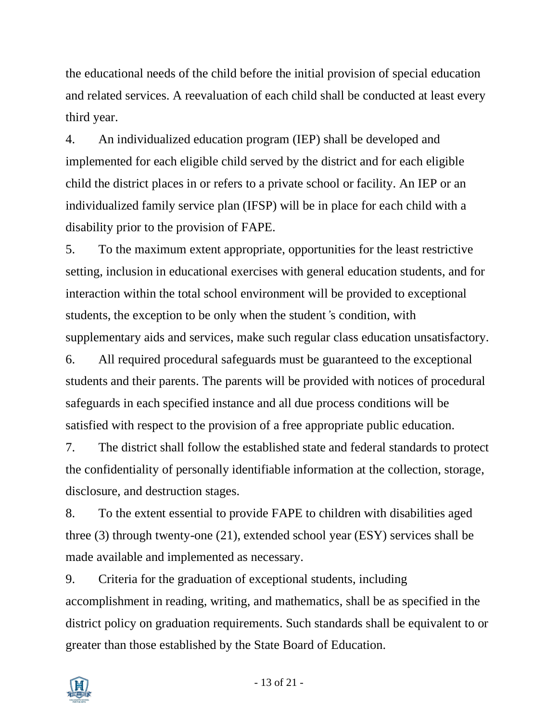the educational needs of the child before the initial provision of special education and related services. A reevaluation of each child shall be conducted at least every third year.

4. An individualized education program (IEP) shall be developed and implemented for each eligible child served by the district and for each eligible child the district places in or refers to a private school or facility. An IEP or an individualized family service plan (IFSP) will be in place for each child with a disability prior to the provision of FAPE.

5. To the maximum extent appropriate, opportunities for the least restrictive setting, inclusion in educational exercises with general education students, and for interaction within the total school environment will be provided to exceptional students, the exception to be only when the student*'*s condition, with supplementary aids and services, make such regular class education unsatisfactory.

6. All required procedural safeguards must be guaranteed to the exceptional students and their parents. The parents will be provided with notices of procedural safeguards in each specified instance and all due process conditions will be satisfied with respect to the provision of a free appropriate public education.

7. The district shall follow the established state and federal standards to protect the confidentiality of personally identifiable information at the collection, storage, disclosure, and destruction stages.

8. To the extent essential to provide FAPE to children with disabilities aged three (3) through twenty-one (21), extended school year (ESY) services shall be made available and implemented as necessary.

9. Criteria for the graduation of exceptional students, including accomplishment in reading, writing, and mathematics, shall be as specified in the district policy on graduation requirements. Such standards shall be equivalent to or greater than those established by the State Board of Education.

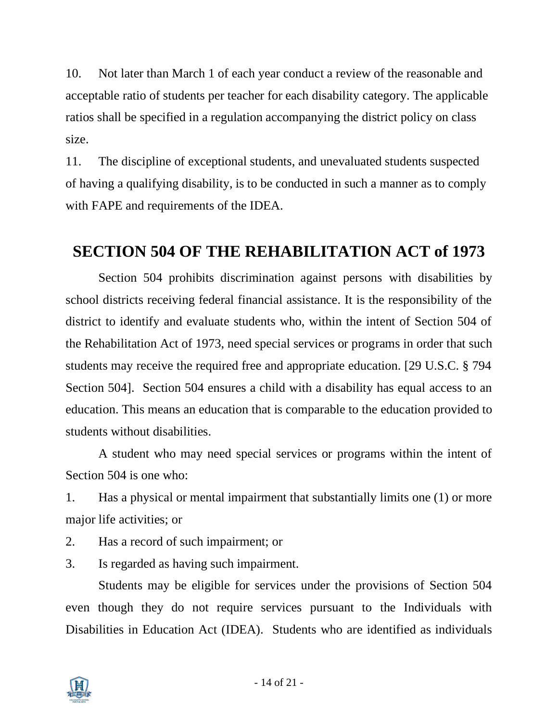10. Not later than March 1 of each year conduct a review of the reasonable and acceptable ratio of students per teacher for each disability category. The applicable ratios shall be specified in a regulation accompanying the district policy on class size.

11. The discipline of exceptional students, and unevaluated students suspected of having a qualifying disability, is to be conducted in such a manner as to comply with FAPE and requirements of the IDEA.

### <span id="page-14-0"></span>**SECTION 504 OF THE REHABILITATION ACT of 1973**

Section 504 prohibits discrimination against persons with disabilities by school districts receiving federal financial assistance. It is the responsibility of the district to identify and evaluate students who, within the intent of Section 504 of the Rehabilitation Act of 1973, need special services or programs in order that such students may receive the required free and appropriate education. [29 U.S.C. § 794 Section 504]. Section 504 ensures a child with a disability has equal access to an education. This means an education that is comparable to the education provided to students without disabilities.

A student who may need special services or programs within the intent of Section 504 is one who:

1. Has a physical or mental impairment that substantially limits one (1) or more major life activities; or

- 2. Has a record of such impairment; or
- 3. Is regarded as having such impairment.

Students may be eligible for services under the provisions of Section 504 even though they do not require services pursuant to the Individuals with Disabilities in Education Act (IDEA). Students who are identified as individuals

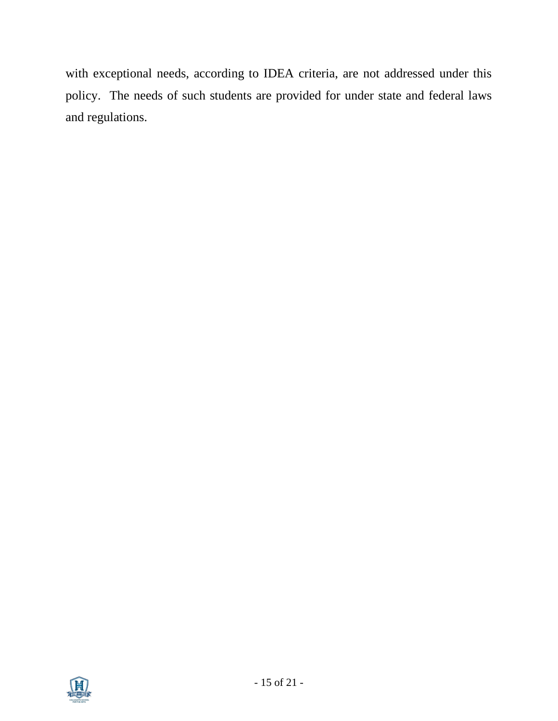with exceptional needs, according to IDEA criteria, are not addressed under this policy. The needs of such students are provided for under state and federal laws and regulations.

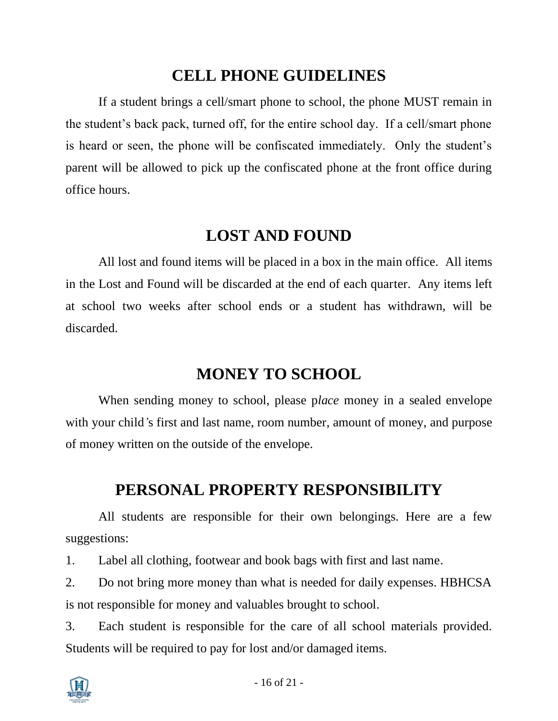# **CELL PHONE GUIDELINES**

<span id="page-16-0"></span>If a student brings a cell/smart phone to school, the phone MUST remain in the student's back pack, turned off, for the entire school day. If a cell/smart phone is heard or seen, the phone will be confiscated immediately. Only the student's parent will be allowed to pick up the confiscated phone at the front office during office hours.

### **LOST AND FOUND**

<span id="page-16-1"></span>All lost and found items will be placed in a box in the main office. All items in the Lost and Found will be discarded at the end of each quarter. Any items left at school two weeks after school ends or a student has withdrawn, will be discarded.

# **MONEY TO SCHOOL**

<span id="page-16-2"></span>When sending money to school, please p*lace* money in a sealed envelope with your child*'*s first and last name, room number, amount of money, and purpose of money written on the outside of the envelope.

# **PERSONAL PROPERTY RESPONSIBILITY**

<span id="page-16-3"></span>All students are responsible for their own belongings. Here are a few suggestions:

1. Label all clothing, footwear and book bags with first and last name.

2. Do not bring more money than what is needed for daily expenses. HBHCSA is not responsible for money and valuables brought to school.

3. Each student is responsible for the care of all school materials provided. Students will be required to pay for lost and/or damaged items.

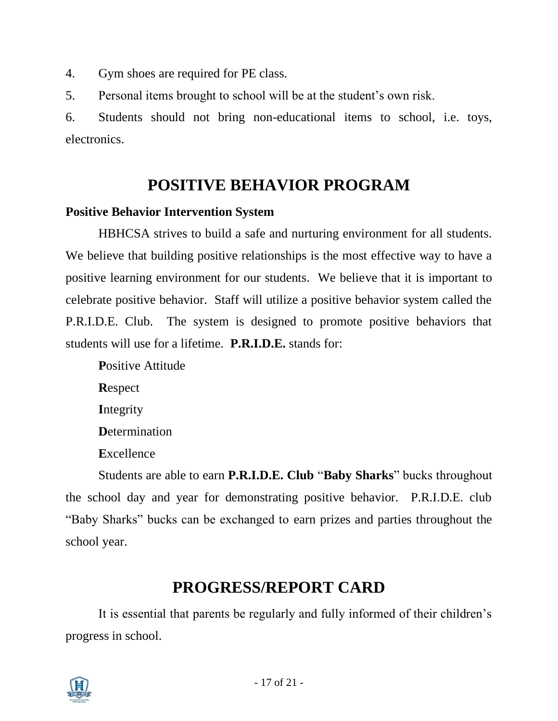4. Gym shoes are required for PE class.

5. Personal items brought to school will be at the student's own risk.

6. Students should not bring non-educational items to school, i.e. toys, electronics.

# **POSITIVE BEHAVIOR PROGRAM**

#### <span id="page-17-0"></span>**Positive Behavior Intervention System**

HBHCSA strives to build a safe and nurturing environment for all students. We believe that building positive relationships is the most effective way to have a positive learning environment for our students. We believe that it is important to celebrate positive behavior. Staff will utilize a positive behavior system called the P.R.I.D.E. Club. The system is designed to promote positive behaviors that students will use for a lifetime. **P.R.I.D.E.** stands for:

**P**ositive Attitude **R**espect **I**ntegrity **D**etermination **E**xcellence

Students are able to earn **P.R.I.D.E. Club** "**Baby Sharks**" bucks throughout the school day and year for demonstrating positive behavior. P.R.I.D.E. club "Baby Sharks" bucks can be exchanged to earn prizes and parties throughout the school year.

# **PROGRESS/REPORT CARD**

<span id="page-17-1"></span>It is essential that parents be regularly and fully informed of their children's progress in school.

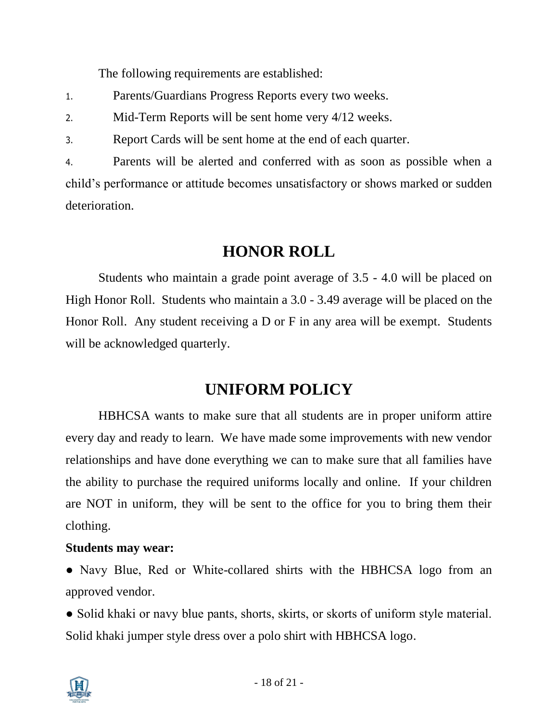The following requirements are established:

- 1. Parents/Guardians Progress Reports every two weeks.
- 2. Mid-Term Reports will be sent home very 4/12 weeks.
- 3. Report Cards will be sent home at the end of each quarter.

4. Parents will be alerted and conferred with as soon as possible when a child's performance or attitude becomes unsatisfactory or shows marked or sudden deterioration.

# **HONOR ROLL**

<span id="page-18-0"></span>Students who maintain a grade point average of 3.5 - 4.0 will be placed on High Honor Roll. Students who maintain a 3.0 - 3.49 average will be placed on the Honor Roll. Any student receiving a D or F in any area will be exempt. Students will be acknowledged quarterly.

# **UNIFORM POLICY**

<span id="page-18-1"></span>HBHCSA wants to make sure that all students are in proper uniform attire every day and ready to learn. We have made some improvements with new vendor relationships and have done everything we can to make sure that all families have the ability to purchase the required uniforms locally and online. If your children are NOT in uniform, they will be sent to the office for you to bring them their clothing.

#### **Students may wear:**

• Navy Blue, Red or White-collared shirts with the HBHCSA logo from an approved vendor.

• Solid khaki or navy blue pants, shorts, skirts, or skorts of uniform style material. Solid khaki jumper style dress over a polo shirt with HBHCSA logo.

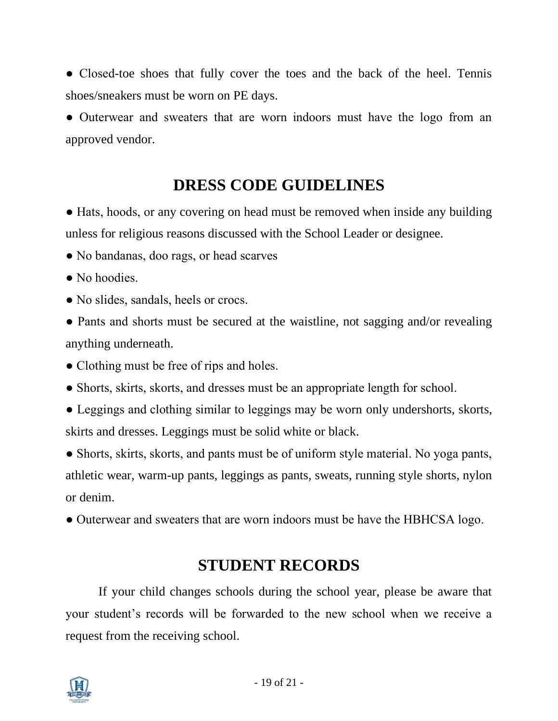• Closed-toe shoes that fully cover the toes and the back of the heel. Tennis shoes/sneakers must be worn on PE days.

• Outerwear and sweaters that are worn indoors must have the logo from an approved vendor.

# **DRESS CODE GUIDELINES**

<span id="page-19-0"></span>• Hats, hoods, or any covering on head must be removed when inside any building unless for religious reasons discussed with the School Leader or designee.

- No bandanas, doo rags, or head scarves
- No hoodies.
- No slides, sandals, heels or crocs.

• Pants and shorts must be secured at the waistline, not sagging and/or revealing anything underneath.

- Clothing must be free of rips and holes.
- Shorts, skirts, skorts, and dresses must be an appropriate length for school.
- Leggings and clothing similar to leggings may be worn only undershorts, skorts, skirts and dresses. Leggings must be solid white or black.

• Shorts, skirts, skorts, and pants must be of uniform style material. No yoga pants, athletic wear, warm-up pants, leggings as pants, sweats, running style shorts, nylon or denim.

● Outerwear and sweaters that are worn indoors must be have the HBHCSA logo.

# **STUDENT RECORDS**

<span id="page-19-1"></span>If your child changes schools during the school year, please be aware that your student's records will be forwarded to the new school when we receive a request from the receiving school.

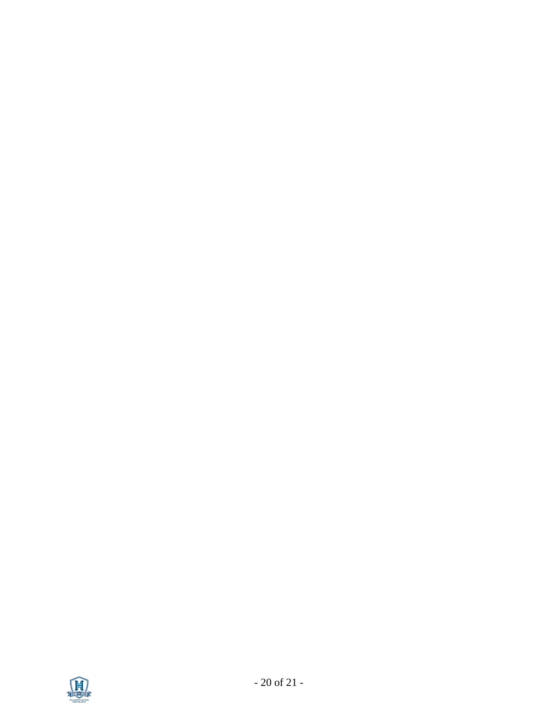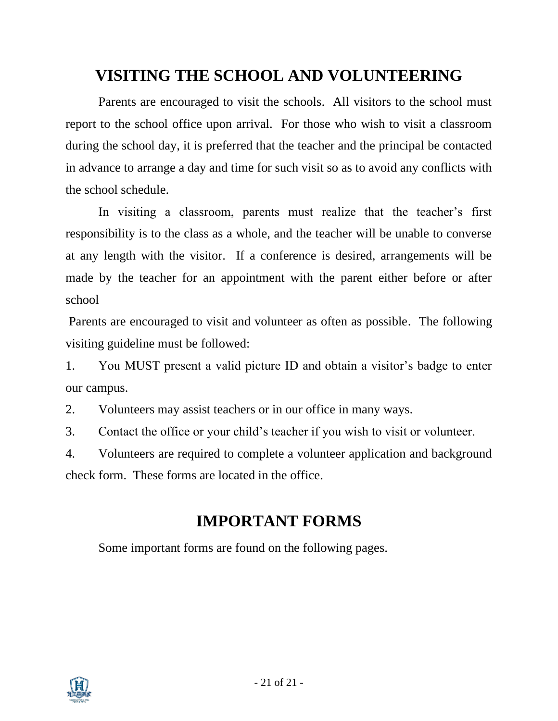# **VISITING THE SCHOOL AND VOLUNTEERING**

<span id="page-21-0"></span>Parents are encouraged to visit the schools. All visitors to the school must report to the school office upon arrival. For those who wish to visit a classroom during the school day, it is preferred that the teacher and the principal be contacted in advance to arrange a day and time for such visit so as to avoid any conflicts with the school schedule.

In visiting a classroom, parents must realize that the teacher's first responsibility is to the class as a whole, and the teacher will be unable to converse at any length with the visitor. If a conference is desired, arrangements will be made by the teacher for an appointment with the parent either before or after school

Parents are encouraged to visit and volunteer as often as possible. The following visiting guideline must be followed:

1. You MUST present a valid picture ID and obtain a visitor's badge to enter our campus.

2. Volunteers may assist teachers or in our office in many ways.

3. Contact the office or your child's teacher if you wish to visit or volunteer.

4. Volunteers are required to complete a volunteer application and background check form. These forms are located in the office.

# **IMPORTANT FORMS**

<span id="page-21-1"></span>Some important forms are found on the following pages.

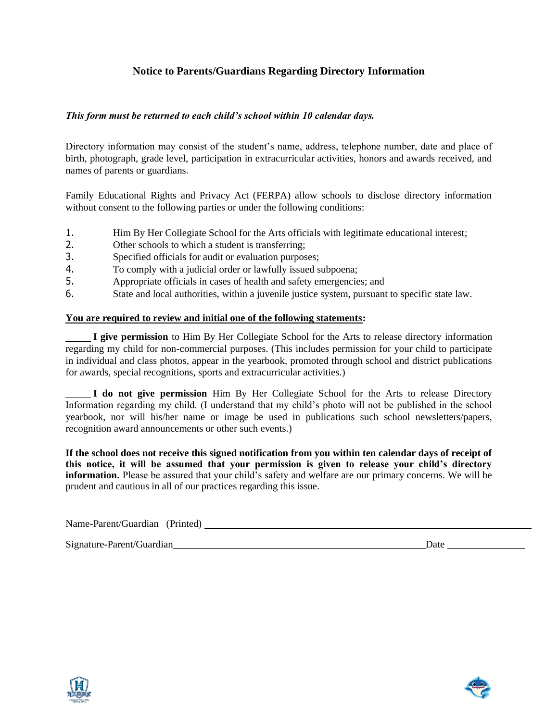#### **Notice to Parents/Guardians Regarding Directory Information**

#### *This form must be returned to each child's school within 10 calendar days.*

Directory information may consist of the student's name, address, telephone number, date and place of birth, photograph, grade level, participation in extracurricular activities, honors and awards received, and names of parents or guardians.

Family Educational Rights and Privacy Act (FERPA) allow schools to disclose directory information without consent to the following parties or under the following conditions:

- 1. Him By Her Collegiate School for the Arts officials with legitimate educational interest;
- 2. Other schools to which a student is transferring;
- 3. Specified officials for audit or evaluation purposes;
- 4. To comply with a judicial order or lawfully issued subpoena;
- 5. Appropriate officials in cases of health and safety emergencies; and
- 6. State and local authorities, within a juvenile justice system, pursuant to specific state law.

#### **You are required to review and initial one of the following statements:**

 **I give permission** to Him By Her Collegiate School for the Arts to release directory information regarding my child for non-commercial purposes. (This includes permission for your child to participate in individual and class photos, appear in the yearbook, promoted through school and district publications for awards, special recognitions, sports and extracurricular activities.)

 **I do not give permission** Him By Her Collegiate School for the Arts to release Directory Information regarding my child. (I understand that my child's photo will not be published in the school yearbook, nor will his/her name or image be used in publications such school newsletters/papers, recognition award announcements or other such events.)

**If the school does not receive this signed notification from you within ten calendar days of receipt of this notice, it will be assumed that your permission is given to release your child's directory information.** Please be assured that your child's safety and welfare are our primary concerns. We will be prudent and cautious in all of our practices regarding this issue.

Name-Parent/Guardian (Printed)

Signature-Parent/Guardian Date by the Second Library of the Second Library of the Date of the Date of the Date of the Date of the United States of the United States of the United States of the United States of the United S